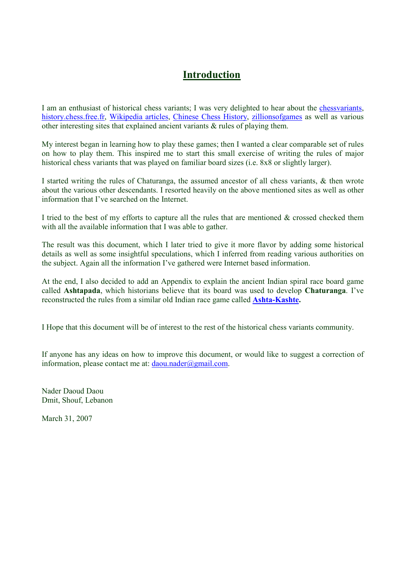# Introduction

I am an enthusiast of historical chess variants; I was very delighted to hear about the chessvariants, history.chess.free.fr, Wikipedia articles, Chinese Chess History, zillionsofgames as well as various other interesting sites that explained ancient variants & rules of playing them.

My interest began in learning how to play these games; then I wanted a clear comparable set of rules on how to play them. This inspired me to start this small exercise of writing the rules of major historical chess variants that was played on familiar board sizes (i.e. 8x8 or slightly larger).

I started writing the rules of Chaturanga, the assumed ancestor of all chess variants, & then wrote about the various other descendants. I resorted heavily on the above mentioned sites as well as other information that I've searched on the Internet.

I tried to the best of my efforts to capture all the rules that are mentioned  $\&$  crossed checked them with all the available information that I was able to gather.

The result was this document, which I later tried to give it more flavor by adding some historical details as well as some insightful speculations, which I inferred from reading various authorities on the subject. Again all the information I've gathered were Internet based information.

At the end, I also decided to add an Appendix to explain the ancient Indian spiral race board game called Ashtapada, which historians believe that its board was used to develop Chaturanga. I've reconstructed the rules from a similar old Indian race game called **Ashta-Kashte.** 

I Hope that this document will be of interest to the rest of the historical chess variants community.

If anyone has any ideas on how to improve this document, or would like to suggest a correction of information, please contact me at:  $d$ aou.nader@gmail.com.

Nader Daoud Daou Dmit, Shouf, Lebanon

March 31, 2007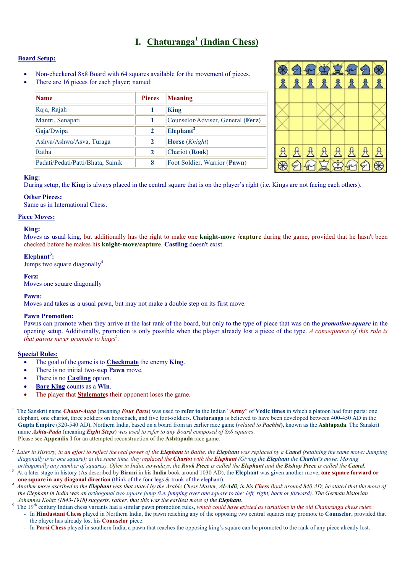# I. Chaturanga<sup>1</sup> (Indian Chess)

# Board Setup:

- Non-checkered 8x8 Board with 64 squares available for the movement of pieces.
- There are 16 pieces for each player; named:

| <b>Name</b>                       | <b>Pieces</b> | Meaning                           |
|-----------------------------------|---------------|-----------------------------------|
| Raja, Rajah                       |               | <b>King</b>                       |
| Mantri, Senapati                  |               | Counselor/Adviser, General (Ferz) |
| Gaja/Dwipa                        | $\mathbf{2}$  | Elephan <sup>2</sup>              |
| Ashva/Ashwa/Asva, Turaga          | $\mathbf{2}$  | <b>Horse</b> ( <i>Knight</i> )    |
| Ratha                             | $\mathbf{2}$  | Chariot (Rook)                    |
| Padati/Pedati/Patti/Bhata, Sainik | 8             | Foot Soldier, Warrior (Pawn)      |



#### King:

During setup, the **King** is always placed in the central square that is on the player's right (i.e. Kings are not facing each others).

#### Other Pieces:

Same as in International Chess.

#### Piece Moves:

#### King:

Moves as usual king, but additionally has the right to make one **knight-move** /**capture** during the game, provided that he hasn't been checked before he makes his knight-move/capture. Castling doesn't exist.

## Elephant<sup>3</sup>:

Jumps two square diagonally<sup>4</sup>

### Ferz:

Moves one square diagonally

### Pawn:

Moves and takes as a usual pawn, but may not make a double step on its first move.

### Pawn Promotion:

Pawns can promote when they arrive at the last rank of the board, but only to the type of piece that was on the **promotion-square** in the opening setup. Additionally, promotion is only possible when the player already lost a piece of the type. A consequence of this rule is that pawns never promote to kings<sup>5</sup>.

### Special Rules:

- The goal of the game is to **Checkmate** the enemy **King**.
- There is no initial two-step **Pawn** move.
- There is no Castling option.
- **Bare King counts as a Win.**
- The player that **Stalemates** their opponent loses the game.

<sup>1</sup> The Sanskrit name Chatur-Anga (meaning Four Parts) was used to refer to the Indian "Army" of Vedic times in which a platoon had four parts: one elephant, one chariot, three soldiers on horseback, and five foot-soldiers. Chaturanga is believed to have been developed between 400-450 AD in the Gupta Empire (320-540 AD), Northern India, based on a board from an earlier race game (*related to Pachisi*), known as the **Ashtapada**. The Sanskrit name **Ashta-Pada** (meaning **Eight Steps**) was used to refer to any Board composed of 8x8 squares. Please see Appendix I for an attempted reconstruction of the Ashtapada race game.

<sup>&</sup>lt;sup>2</sup> Later in History, in an effort to reflect the real power of the **Elephant** in Battle, the **Elephant** was replaced by a **Camel** (retaining the same move: Jumping diagonally over one square); at the same time, they replaced the Chariot with the Elephant (Giving the Elephant the Chariot's move: Moving orthogonally any number of squares). Often in India, nowadays, the Rook Piece is called the Elephant and the Bishop Piece is called the Camel.

<sup>&</sup>lt;sup>3</sup> At a later stage in history (As described by Biruni in his India book around 1030 AD), the Elephant was given another move; one square forward or one square in any diagonal direction (think of the four legs & trunk of the elephant).

 $^4$  Another move ascribed to the Elephant was that stated by the Arabic Chess Master, Al-Adli, in his Chess Book around 840 AD; he stated that the move of the Elephant in India was an orthogonal two square jump (i.e. jumping over one square to the: left, right, back or forward). The German historian Johannes Kohtz (1843-1918) suggests, rather, that this was the earliest move of the Elephant.

<sup>&</sup>lt;sup>5</sup> The 19<sup>th</sup> century Indian chess variants had a similar pawn promotion rules, *which could have existed as variations in the old Chaturanga chess rules*: - In **Hindustani Chess** played in Northern India, the pawn reaching any of the opposing two central squares may promote to **Counselor**, provided that the player has already lost his Counselor piece.

In Parsi Chess played in southern India, a pawn that reaches the opposing king's square can be promoted to the rank of any piece already lost.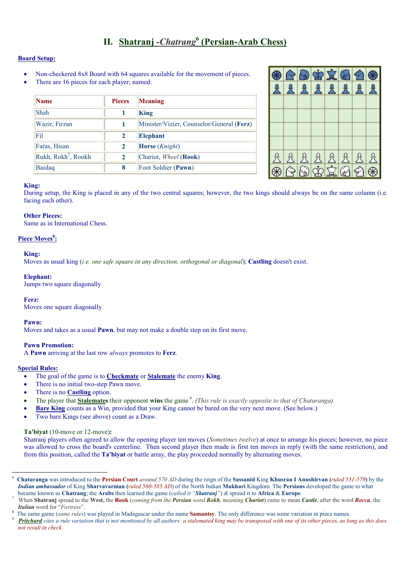# II. Shatranj - Chatrang<sup>6</sup> (Persian-Arab Chess)

# Board Setup:

- Non-checkered 8x8 Board with 64 squares available for the movement of pieces.
- There are 16 pieces for each player; named:

| Name                            | <b>Pieces</b> | Meaning                                   |
|---------------------------------|---------------|-------------------------------------------|
| Shah                            |               | King                                      |
| Wazir, Firzan                   | 1             | Minister/Vizier, Counselor/General (Ferz) |
| Fil                             | $\mathbf{2}$  | <b>Elephant</b>                           |
| Faras, Hisan                    | $\mathbf{2}$  | <b>Horse</b> ( <i>Knight</i> )            |
| Rukh, Rokh <sup>7</sup> , Rookh | $\mathbf{2}$  | Chariot, Wheel (Rook)                     |
| Baidaq                          | 8             | Foot Soldier (Pawn)                       |

|  |  |  | 8 G G T G A &<br>A A A A A A A A |
|--|--|--|----------------------------------|
|  |  |  |                                  |
|  |  |  |                                  |
|  |  |  |                                  |
|  |  |  |                                  |
|  |  |  |                                  |
|  |  |  |                                  |
|  |  |  |                                  |

### King:

During setup, the King is placed in any of the two central squares; however, the two kings should always be on the same column (i.e. facing each other).

### Other Pieces:

Same as in International Chess.

### Piece Moves<sup>8</sup>:

#### King:

Moves as usual king *(i.e. one safe square in any direction, orthogonal or diagonal)*; **Castling** doesn't exist.

#### Elephant:

Jumps two square diagonally

### Ferz:

Moves one square diagonally

### Pawn:

Moves and takes as a usual Pawn, but may not make a double step on its first move.

### Pawn Promotion:

A Pawn arriving at the last row always promotes to Ferz.

### Special Rules:

-

- The goal of the game is to Checkmate or Stalemate the enemy King.
- There is no initial two-step Pawn move.
- There is no **Castling** option.
- The player that **Stalemates** their opponent wins the game<sup>9</sup>. (This rule is exactly opposite to that of Chaturanga)
- **Bare King counts as a Win, provided that your King cannot be bared on the very next move. (See below.)**
- Two bare Kings (see above) count as a Draw.

#### Ta'biyat (10-move or 12-move):

Shatranj players often agreed to allow the opening player ten moves (*Sometimes twelve*) at once to arrange his pieces; however, no piece was allowed to cross the board's centerline. Then second player then made is first ten moves in reply (with the same restriction), and from this position, called the **Ta'biyat** or battle array, the play proceeded normally by alternating moves.

<sup>6</sup> Chaturanga was introduced to the Persian Court around 570 AD during the reign of the Sassanid King Khusrau I Anushirvan (ruled 531-579) by the Indian ambassador of King Sharvavarman (ruled 560-585 AD) of the North Indian Mukhari Kingdom. The Persians developed the game to what became known as Chatrang; the Arabs then learned the game (called it "Shatranj") & spread it to Africa & Europe.

<sup>7</sup> When Shatranj spread to the West, the Rook (coming from the Persian word Rokh, meaning Chariot) came to mean Castle, after the word Rocca, the Italian word for "Fortress".

<sup>8</sup> The same game (same rules) was played in Madagascar under the name **Samantsy**. The only difference was some variation in piece names.

<sup>9</sup> Pritchard cites a rule variation that is not mentioned by all authors: a stalemated king may be transposed with one of its other pieces, as long as this does not result in check.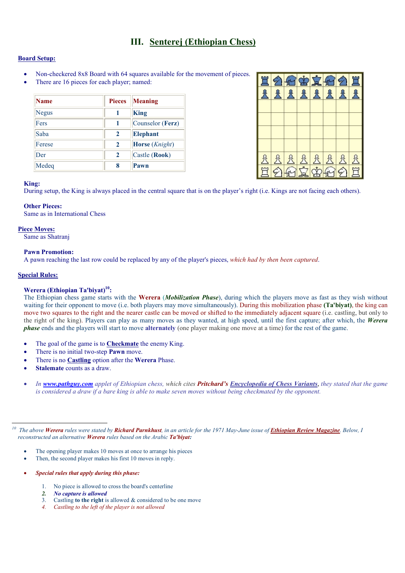# III. Senterej (Ethiopian Chess)

### Board Setup:

- Non-checkered 8x8 Board with 64 squares available for the movement of pieces.
- There are 16 pieces for each player; named:

| <b>Name</b>  | <b>Pieces</b> | <b>Meaning</b>                 |
|--------------|---------------|--------------------------------|
| <b>Negus</b> |               | King                           |
| Fers         |               | Counselor (Ferz)               |
| Saba         | 2             | <b>Elephant</b>                |
| Ferese       | $\mathbf{2}$  | <b>Horse</b> ( <i>Knight</i> ) |
| Der          | $\mathbf{2}$  | Castle (Rook)                  |
| Medeq        | 8             | Pawn                           |

| <b>E2002021</b>                      |  |  |  |         |
|--------------------------------------|--|--|--|---------|
|                                      |  |  |  | RRRRRRR |
|                                      |  |  |  |         |
|                                      |  |  |  |         |
|                                      |  |  |  |         |
|                                      |  |  |  |         |
|                                      |  |  |  |         |
| 88888888<br><mark>E 20650002E</mark> |  |  |  |         |

#### King:

During setup, the King is always placed in the central square that is on the player's right (i.e. Kings are not facing each others).

#### Other Pieces:

Same as in International Chess

#### Piece Moves:

Same as Shatranj

#### Pawn Promotion:

A pawn reaching the last row could be replaced by any of the player's pieces, which had by then been captured.

# Special Rules:

-

### Werera (Ethiopian Ta'biyat) $^{10}$ :

The Ethiopian chess game starts with the **Werera** (*Mobilization Phase*), during which the players move as fast as they wish without waiting for their opponent to move (i.e. both players may move simultaneously). During this mobilization phase (Ta'biyat), the king can move two squares to the right and the nearer castle can be moved or shifted to the immediately adjacent square (i.e. castling, but only to the right of the king). Players can play as many moves as they wanted, at high speed, until the first capture; after which, the Werera phase ends and the players will start to move alternately (one player making one move at a time) for the rest of the game.

- The goal of the game is to **Checkmate** the enemy King.
- There is no initial two-step Pawn move.
- There is no **Castling** option after the **Werera** Phase.
- Stalemate counts as a draw.
- In www.pathguy.com applet of Ethiopian chess, which cites Pritchard's Encyclopedia of Chess Variants, they stated that the game is considered a draw if a bare king is able to make seven moves without being checkmated by the opponent.

 $^{10}$  The above Werera rules were stated by Richard Parnkhust, in an article for the 1971 May-June issue of Ethiopian Review Magazine. Below, I reconstructed an alternative Werera rules based on the Arabic Ta'biyat:

- The opening player makes 10 moves at once to arrange his pieces
- Then, the second player makes his first 10 moves in reply.
- Special rules that apply during this phase:
	- 1. No piece is allowed to cross the board's centerline
	- 2. No capture is allowed
	- 3. Castling to the right is allowed  $&$  considered to be one move
	- 4. Castling to the left of the player is not allowed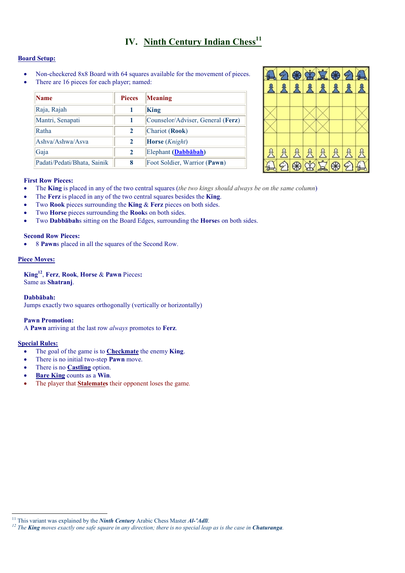# IV. Ninth Century Indian  $Chess<sup>11</sup>$

# Board Setup:

- Non-checkered 8x8 Board with 64 squares available for the movement of pieces.
- There are 16 pieces for each player; named:

| <b>Name</b>                 | <b>Pieces</b> | Meaning                           |
|-----------------------------|---------------|-----------------------------------|
| Raja, Rajah                 |               | King                              |
| Mantri, Senapati            |               | Counselor/Adviser, General (Ferz) |
| Ratha                       | 2             | Chariot (Rook)                    |
| Ashva/Ashwa/Asva            | $\mathbf{2}$  | <b>Horse</b> ( <i>Knight</i> )    |
| Gaja                        | $\mathbf{2}$  | Elephant (Dabbābah)               |
| Padati/Pedati/Bhata, Sainik | 8             | Foot Soldier, Warrior (Pawn)      |



# First Row Pieces:

- The King is placed in any of the two central squares (the two kings should always be on the same column)
- The Ferz is placed in any of the two central squares besides the King.
- Two Rook pieces surrounding the King & Ferz pieces on both sides.
- Two **Horse** pieces surrounding the **Rooks** on both sides.
- Two **Dabbābah**s sitting on the Board Edges, surrounding the **Horses** on both sides.

# Second Row Pieces:

• 8 Pawns placed in all the squares of the Second Row.

# Piece Moves:

 $King<sup>12</sup>$ , Ferz, Rook, Horse & Pawn Pieces: Same as Shatranj.

### Dabbābah:

Jumps exactly two squares orthogonally (vertically or horizontally)

### Pawn Promotion:

A Pawn arriving at the last row always promotes to Ferz.

### Special Rules:

- The goal of the game is to **Checkmate** the enemy **King**.
- There is no initial two-step **Pawn** move.
- There is no **Castling** option.
- Bare King counts as a Win.
- The player that **Stalemates** their opponent loses the game.

<sup>&</sup>lt;sup>11</sup> This variant was explained by the *Ninth Century* Arabic Chess Master  $AI$ -' $AdI$ .

<sup>&</sup>lt;sup>12</sup> The **King** moves exactly one safe square in any direction; there is no special leap as is the case in **Chaturanga**.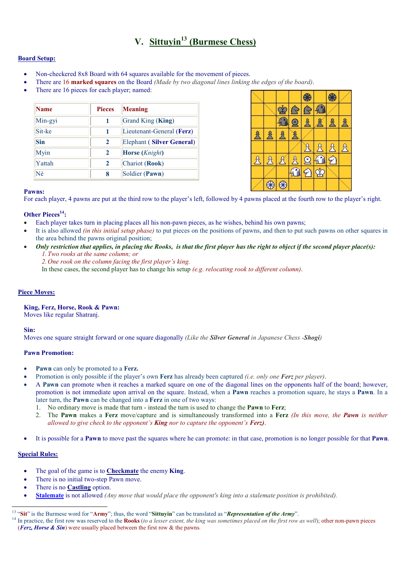# V. Sittuvin<sup>13</sup> (Burmese Chess)

# Board Setup:

- Non-checkered 8x8 Board with 64 squares available for the movement of pieces.
- There are 16 marked squares on the Board (Made by two diagonal lines linking the edges of the board).
- There are 16 pieces for each player; named:

| <b>Name</b> | <b>Pieces</b> | <b>Meaning</b>                   |
|-------------|---------------|----------------------------------|
| Min-gyi     | 1             | Grand King (King)                |
| Sit-ke      | 1             | Lieutenant-General (Ferz)        |
| <b>Sin</b>  | $\mathbf{2}$  | <b>Elephant (Silver General)</b> |
| Myin        | 2             | <b>Horse</b> (Knight)            |
| Yattah      | $\mathbf{2}$  | Chariot (Rook)                   |
| Nè          | 8             | Soldier (Pawn)                   |



### Pawns:

For each player, 4 pawns are put at the third row to the player's left, followed by 4 pawns placed at the fourth row to the player's right.

### Other Pieces<sup>14</sup>:

- Each player takes turn in placing places all his non-pawn pieces, as he wishes, behind his own pawns;
- It is also allowed *(in this initial setup phase)* to put pieces on the positions of pawns, and then to put such pawns on other squares in the area behind the pawns original position;
- Only restriction that applies, in placing the Rooks, is that the first player has the right to object if the second player place(s): 1. Two rooks at the same column; or
	- 2. One rook on the column facing the first player's king.

In these cases, the second player has to change his setup (e.g. relocating rook to different column).

### Piece Moves:

### King, Ferz, Horse, Rook & Pawn:

Moves like regular Shatranj.

### Sin:

Moves one square straight forward or one square diagonally (Like the **Silver General** in Japanese Chess -**Shogi**)

### Pawn Promotion:

- Pawn can only be promoted to a Ferz.
- Promotion is only possible if the player's own **Ferz** has already been captured *(i.e. only one Ferz per player)*.
- A Pawn can promote when it reaches a marked square on one of the diagonal lines on the opponents half of the board; however, promotion is not immediate upon arrival on the square. Instead, when a Pawn reaches a promotion square, he stays a Pawn. In a later turn, the Pawn can be changed into a Ferz in one of two ways:
	- 1. No ordinary move is made that turn instead the turn is used to change the Pawn to Ferz;
	- 2. The Pawn makes a Ferz move/capture and is simultaneously transformed into a Ferz (In this move, the Pawn is neither allowed to give check to the opponent's **King** nor to capture the opponent's **Ferz**).
- It is possible for a **Pawn** to move past the squares where he can promote: in that case, promotion is no longer possible for that **Pawn**.

### Special Rules:

- The goal of the game is to **Checkmate** the enemy **King**.
- There is no initial two-step Pawn move.
- There is no Castling option.
- **Stalemate** is not allowed *(Any move that would place the opponent's king into a stalemate position is prohibited)*.

<sup>&</sup>lt;sup>13</sup> "Sit" is the Burmese word for "Army"; thus, the word "Sittuyin" can be translated as "Representation of the Army".

 $14$  In practice, the first row was reserved to the Rooks (to a lesser extent, the king was sometimes placed on the first row as well); other non-pawn pieces (Ferz, Horse & Sin) were usually placed between the first row & the pawns.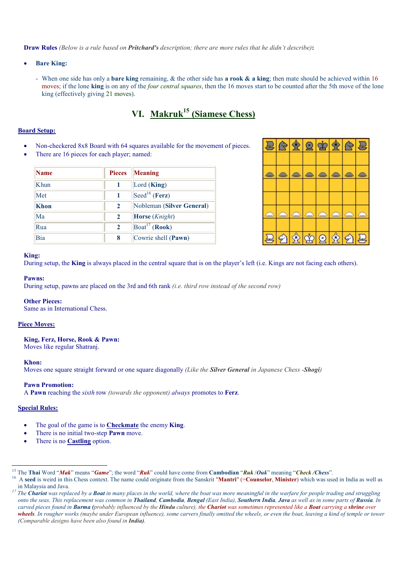Draw Rules (Below is a rule based on Pritchard's description; there are more rules that he didn't describe):

- **Bare King:** 
	- When one side has only a **bare king** remaining,  $\&$  the other side has **a rook**  $\&$  **a king**; then mate should be achieved within 16 moves; if the lone king is on any of the *four central squares*, then the 16 moves start to be counted after the 5th move of the lone king (effectively giving 21 moves).

# VI. Makruk<sup>15</sup> (Siamese Chess)

# Board Setup:

- Non-checkered 8x8 Board with 64 squares available for the movement of pieces.
- There are 16 pieces for each player; named:

| Name        | <b>Pieces</b> | Meaning                          |
|-------------|---------------|----------------------------------|
| Khun        |               | Lord $(King)$                    |
| Met         |               | $\left[ \text{Seed}^{16}$ (Ferz) |
| <b>Khon</b> | $\mathbf{2}$  | Nobleman (Silver General)        |
| Ma          | $\mathbf{2}$  | Horse (Knight)                   |
| Rua         | $\mathbf{2}$  | $Board17$ (Rook)                 |
| Bia         | 8             | Cowrie shell (Pawn)              |



#### King:

During setup, the King is always placed in the central square that is on the player's left (i.e. Kings are not facing each others).

#### Pawns:

During setup, pawns are placed on the 3rd and 6th rank (i.e. third row instead of the second row)

#### Other Pieces:

Same as in International Chess.

### Piece Moves:

#### King, Ferz, Horse, Rook & Pawn:

Moves like regular Shatranj.

#### Khon:

Moves one square straight forward or one square diagonally (Like the **Silver General** in Japanese Chess -**Shogi**)

#### Pawn Promotion:

A Pawn reaching the sixth row (towards the opponent) always promotes to Ferz.

#### Special Rules:

<u>.</u>

- The goal of the game is to Checkmate the enemy King.
- There is no initial two-step **Pawn** move.
- There is no Castling option.

<sup>&</sup>lt;sup>15</sup> The Thai Word "Mak" means "Game"; the word "Ruk" could have come from Cambodian "Ruk /Ouk" meaning "Check /Chess".

<sup>&</sup>lt;sup>16</sup> A seed is weird in this Chess context. The name could originate from the Sanskrit "Mantri" (=Counselor, Minister) which was used in India as well as in Malaysia and Java.

 $17$  The Chariot was replaced by a Boat in many places in the world, where the boat was more meaningful in the warfare for people trading and struggling onto the seas. This replacement was common in Thailand, Cambodia, Bengal (East India), Southern India, Java as well as in some parts of Russia. In carved pieces found in Burma (probably influenced by the Hindu culture), the Chariot was sometimes represented like a Boat carrying a shrine over wheels. In rougher works (maybe under European influence), some carvers finally omitted the wheels, or even the boat, leaving a kind of temple or tower (Comparable designs have been also found in India).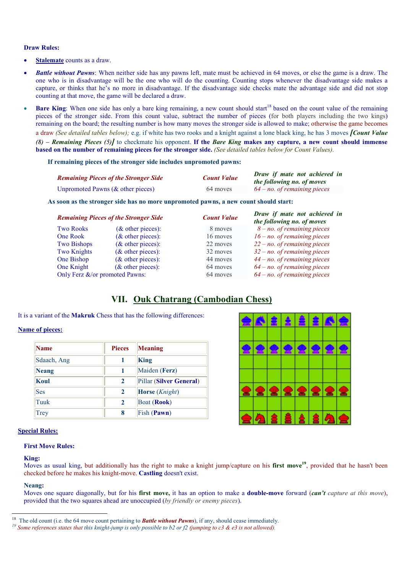#### Draw Rules:

- Stalemate counts as a draw.
- **Battle without Pawns:** When neither side has any pawns left, mate must be achieved in 64 moves, or else the game is a draw. The one who is in disadvantage will be the one who will do the counting. Counting stops whenever the disadvantage side makes a capture, or thinks that he's no more in disadvantage. If the disadvantage side checks mate the advantage side and did not stop counting at that move, the game will be declared a draw.
- **Bare King**: When one side has only a bare king remaining, a new count should start<sup>18</sup> based on the count value of the remaining pieces of the stronger side. From this count value, subtract the number of pieces (for both players including the two kings) remaining on the board; the resulting number is how many moves the stronger side is allowed to make; otherwise the game becomes a draw (See detailed tables below); e.g. if white has two rooks and a knight against a lone black king, he has 3 moves **[Count Value** (8) – Remaining Pieces (5)] to checkmate his opponent. If the Bare King makes any capture, a new count should immense based on the number of remaining pieces for the stronger side. (See detailed tables below for Count Values).

#### If remaining pieces of the stronger side includes unpromoted pawns:

| <b>Remaining Pieces of the Stronger Side</b> | <b>Count Value</b> | Draw if mate not achieved in<br>the following no. of moves |
|----------------------------------------------|--------------------|------------------------------------------------------------|
| Unpromoted Pawns ( $\&$ other pieces)        | 64 moves           | $64 - no$ , of remaining pieces                            |

As soon as the stronger side has no more unpromoted pawns, a new count should start:

|                                | <b>Remaining Pieces of the Stronger Side</b> | <b>Count Value</b> | Draw if mate not achieved in<br>the following no. of moves |
|--------------------------------|----------------------------------------------|--------------------|------------------------------------------------------------|
| <b>Two Rooks</b>               | $(\&$ other pieces):                         | 8 moves            | $8 - no$ of remaining pieces                               |
| One Rook                       | $(\&$ other pieces):                         | 16 moves           | $16 - no$ . of remaining pieces                            |
| <b>Two Bishops</b>             | $(\&$ other pieces):                         | 22 moves           | $22 - no$ of remaining pieces                              |
| <b>Two Knights</b>             | $(\&$ other pieces):                         | 32 moves           | $32 - no$ . of remaining pieces                            |
| One Bishop                     | $(\&$ other pieces):                         | 44 moves           | $44 - no$ . of remaining pieces                            |
| One Knight                     | $(\&$ other pieces):                         | 64 moves           | $64 - no$ . of remaining pieces                            |
| Only Ferz &/or promoted Pawns: |                                              | 64 moves           | $64$ – no. of remaining pieces                             |

# VII. Ouk Chatrang (Cambodian Chess)

#### It is a variant of the Makruk Chess that has the following differences:

#### Name of pieces:

| Name        | <b>Pieces</b> | <b>Meaning</b>          |
|-------------|---------------|-------------------------|
| Sdaach, Ang |               | King                    |
| Neang       |               | Maiden (Ferz)           |
| Koul        | 2             | Pillar (Silver General) |
| <b>Ses</b>  | 2             | Horse (Knight)          |
| Tuuk        | 2             | Boat ( <b>Rook</b> )    |
| Trey        | 8             | Fish (Pawn)             |

|                         |                 |                 | <b>AABBBBAA</b> |
|-------------------------|-----------------|-----------------|-----------------|
|                         |                 |                 |                 |
|                         |                 |                 |                 |
|                         |                 |                 |                 |
|                         |                 |                 |                 |
|                         |                 |                 |                 |
| <b>숦② â â â â 2 ④ 숲</b> | <u> 2222222</u> | <u> 2222222</u> |                 |
|                         |                 |                 |                 |

### Special Rules:

## First Move Rules:

### King:

Moves as usual king, but additionally has the right to make a knight jump/capture on his **first move**<sup>19</sup>, provided that he hasn't been checked before he makes his knight-move. Castling doesn't exist.

#### Neang:

Moves one square diagonally, but for his **first move**, it has an option to make a **double-move** forward *(can't capture at this move)*, provided that the two squares ahead are unoccupied (by friendly or enemy pieces).

<sup>&</sup>lt;sup>18</sup> The old count (i.e. the 64 move count pertaining to **Battle without Pawns**), if any, should cease immediately.

<sup>&</sup>lt;sup>19</sup> Some references states that this knight-jump is only possible to b2 or f2 (jumping to c3 & e3 is not allowed).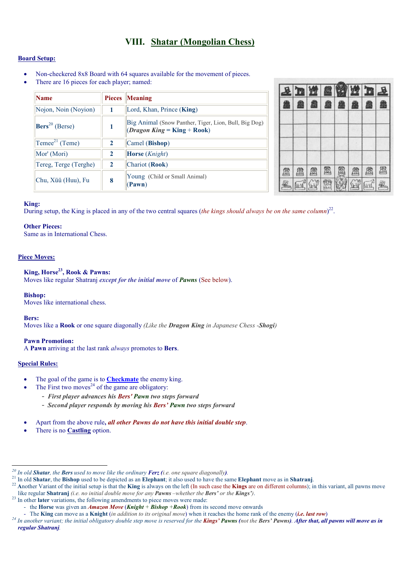# VIII. Shatar (Mongolian Chess)

# Board Setup:

- Non-checkered 8x8 Board with 64 squares available for the movement of pieces.
- There are 16 pieces for each player; named:

| <b>Name</b>                | <b>Pieces</b> | <b>Meaning</b>                                                                               |
|----------------------------|---------------|----------------------------------------------------------------------------------------------|
| Nojon, Noin (Noyion)       |               | Lord, Khan, Prince (King)                                                                    |
| $\text{Bers}^{20}$ (Berse) | 1             | Big Animal (Snow Panther, Tiger, Lion, Bull, Big Dog)<br>( <i>Dragon King</i> = King + Rook) |
| $\text{Teme}^{21}$ (Teme)  | $\mathbf{2}$  | Camel (Bishop)                                                                               |
| Mor' (Mori)                | $\mathbf{2}$  | <b>Horse</b> ( <i>Knight</i> )                                                               |
| Tereg, Terge (Terghe)      | $\mathbf{2}$  | Chariot (Rook)                                                                               |
| Chu, Xüü (Huu), Fu         | 8             | Young (Child or Small Animal)<br>(Pawn)                                                      |



### King:

During setup, the King is placed in any of the two central squares (the kings should always be on the same column)<sup>22</sup>.

### Other Pieces:

Same as in International Chess.

# Piece Moves:

# King, Horse<sup>23</sup>, Rook & Pawns:

Moves like regular Shatranj except for the initial move of Pawns (See below).

### Bishop:

Moves like international chess.

Bers:

Moves like a Rook or one square diagonally (Like the Dragon King in Japanese Chess -Shogi)

### Pawn Promotion:

A Pawn arriving at the last rank always promotes to Bers.

### Special Rules:

<u>.</u>

- The goal of the game is to **Checkmate** the enemy king.
- The First two moves<sup>24</sup> of the game are obligatory:
	- First player advances his Bers' Pawn two steps forward
	- Second player responds by moving his Bers' Pawn two steps forward
- Apart from the above rule, all other Pawns do not have this initial double step.
- There is no Castling option.

<sup>23</sup> In other later variations, the following amendments to piece moves were made:

<sup>&</sup>lt;sup>20</sup> In old **Shatar**, the **Bers** used to move like the ordinary **Ferz** (i.e. one square diagonally).

 $21$  In old Shatar, the Bishop used to be depicted as an Elephant; it also used to have the same Elephant move as in Shatranj.

 $^{22}$  Another Variant of the initial setup is that the King is always on the left (In such case the Kings are on different columns); in this variant, all pawns move like regular Shatranj (i.e. no initial double move for any Pawns –whether the Bers' or the Kings').

<sup>-</sup> the Horse was given an **Amazon Move (Knight** + **Bishop** + **Rook**) from its second move onwards

<sup>-</sup> The King can move as a Knight *(in addition to its original move)* when it reaches the home rank of the enemy *(i.e. last row)* 

 $^{24}$  In another variant; the initial obligatory double step move is reserved for the **Kings' Pawns** (not the **Bers' Pawns). After that, all pawns will move as in** regular Shatranj.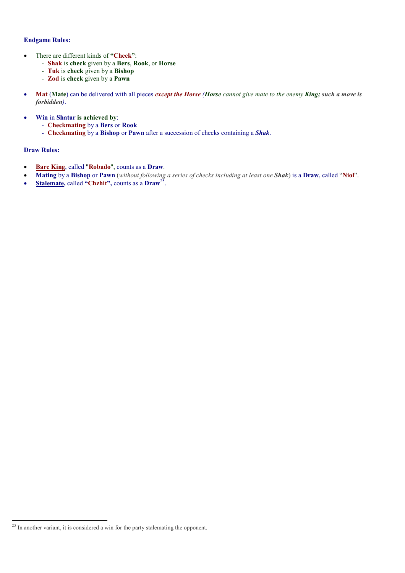# Endgame Rules:

- There are different kinds of "Check":
	- Shak is check given by a Bers, Rook, or Horse
	- Tuk is check given by a Bishop
	- **Zod** is check given by a **Pawn**
- Mat (Mate) can be delivered with all pieces except the Horse (Horse cannot give mate to the enemy King; such a move is forbidden).
- Win in Shatar is achieved by:
	- Checkmating by a Bers or Rook
	- Checkmating by a Bishop or Pawn after a succession of checks containing a Shak.

# Draw Rules:

- Bare King, called "Robado", counts as a Draw.
- Mating by a Bishop or Pawn (without following a series of checks including at least one Shak) is a Draw, called "Niol".
- Stalemate, called "Chzhit", counts as a  $Draw^{25}$ .

<sup>-</sup><sup>25</sup> In another variant, it is considered a win for the party stalemating the opponent.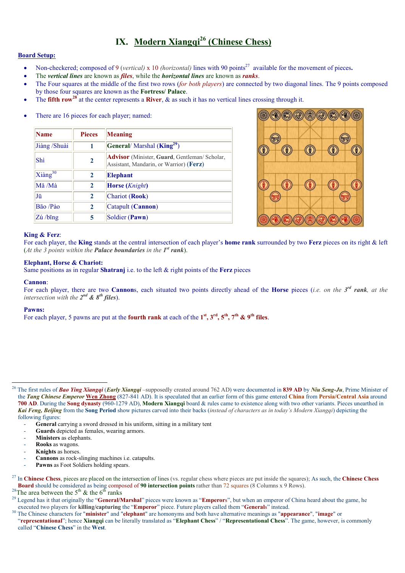# IX. Modern Xiangq $i^{26}$  (Chinese Chess)

### Board Setup:

- Non-checkered; composed of 9 (vertical) x 10 *(horizontal)* lines with 90 points<sup>27</sup> available for the movement of pieces.
- The vertical lines are known as *files*, while the *horizontal lines* are known as *ranks*.
- The Four squares at the middle of the first two rows *(for both players)* are connected by two diagonal lines. The 9 points composed by those four squares are known as the Fortress/ Palace.
- The **fifth row<sup>28</sup>** at the center represents a **River**,  $\&$  as such it has no vertical lines crossing through it.

| There are 16 pieces for each player; named: |  |  |
|---------------------------------------------|--|--|
|                                             |  |  |

| <b>Name</b>         | <b>Pieces</b> | Meaning                                                                                        |  |  |
|---------------------|---------------|------------------------------------------------------------------------------------------------|--|--|
| Jiàng /Shuài        | 1             | General/ Marshal ( $\text{King}^{29}$ )                                                        |  |  |
| Shì                 | $\mathbf{2}$  | <b>Advisor</b> (Minister, Guard, Gentleman/Scholar,<br>Assistant, Mandarin, or Warrior) (Ferz) |  |  |
| $Xi\text{ang}^{30}$ | $\mathbf{2}$  | <b>Elephant</b>                                                                                |  |  |
| Mă /Mà              | $\mathbf{2}$  | <b>Horse</b> ( <i>Knight</i> )                                                                 |  |  |
| IJū                 | $\mathbf{2}$  | Chariot (Rook)                                                                                 |  |  |
| Bão /Pào            | $\mathbf{2}$  | Catapult (Cannon)                                                                              |  |  |
| $Z$ ú / $bing$      | 5             | Soldier (Pawn)                                                                                 |  |  |



### King & Ferz:

For each player, the King stands at the central intersection of each player's home rank surrounded by two Ferz pieces on its right & left (At the 3 points within the **Palace boundaries** in the  $I^{st}$  rank).

#### Elephant, Horse & Chariot:

Same positions as in regular Shatranj i.e. to the left & right points of the Ferz pieces

#### Cannon:

For each player, there are two Cannons, each situated two points directly ahead of the Horse pieces (*i.e. on the 3<sup>rd</sup> rank*, *at the* intersection with the  $2^{nd}$  &  $8^{th}$  files).

## Pawns:

-

For each player, 5 pawns are put at the **fourth rank** at each of the  $1^{st}$ ,  $3^{rd}$ ,  $5^{th}$ ,  $7^{th}$  &  $9^{th}$  files.

<sup>&</sup>lt;sup>26</sup> The first rules of **Bao Ying Xiangqi** (Early Xiangqi –supposedly created around 762 AD) were documented in 839 AD by Niu Seng-Ju, Prime Minister of the Tang Chinese Emperor Wen Zhong (827-841 AD). It is speculated that an earlier form of this game entered China from Persia/Central Asia around 700 AD. During the Song dynasty (960-1279 AD), Modern Xiangqi board & rules came to existence along with two other variants. Pieces unearthed in Kai Feng, Beijing from the Song Period show pictures carved into their backs (instead of characters as in today's Modern Xiangqi) depicting the following figures:

General carrying a sword dressed in his uniform, sitting in a military tent

Guards depicted as females, wearing armors.

Ministers as elephants.

Rooks as wagons.

Knights as horses.

Cannons as rock-slinging machines i.e. catapults.

Pawns as Foot Soldiers holding spears.

 $^{27}$  In Chinese Chess, pieces are placed on the intersection of lines (vs. regular chess where pieces are put inside the squares); As such, the Chinese Chess

**Board** should be considered as being composed of 90 intersection points rather than 72 squares (8 Columns x 9 Rows).

<sup>&</sup>lt;sup>28</sup>The area between the 5<sup>th</sup> & the 6<sup>th</sup> ranks

<sup>&</sup>lt;sup>29</sup> Legend has it that originally the "**General/Marshal**" pieces were known as "**Emperors**", but when an emperor of China heard about the game, he executed two players for killing/capturing the "Emperor" piece. Future players called them "Generals" instead.

<sup>&</sup>lt;sup>30</sup> The Chinese characters for "minister" and "elephant" are homonyms and both have alternative meanings as "appearance", "image" or

<sup>&</sup>quot;representational"; hence Xiangqi can be literally translated as "Elephant Chess" / "Representational Chess". The game, however, is commonly called "Chinese Chess" in the West.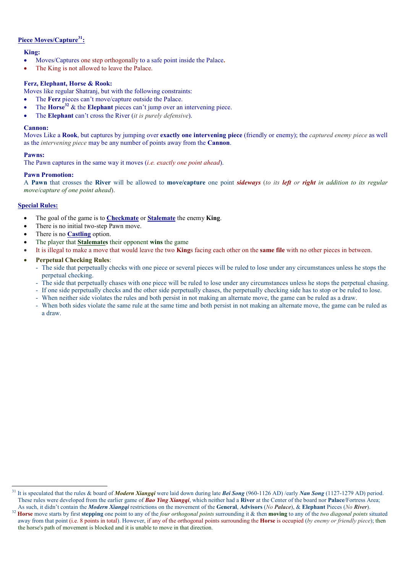# Piece Moves/Capture<sup>31</sup>:

# King:

- Moves/Captures one step orthogonally to a safe point inside the Palace.
- The King is not allowed to leave the Palace.

# Ferz, Elephant, Horse & Rook:

- Moves like regular Shatranj, but with the following constraints:
- The **Ferz** pieces can't move/capture outside the Palace.
- The Horse<sup>32</sup> & the Elephant pieces can't jump over an intervening piece.
- The **Elephant** can't cross the River (it is purely defensive).

### Cannon:

Moves Like a Rook, but captures by jumping over exactly one intervening piece (friendly or enemy); the *captured enemy piece* as well as the intervening piece may be any number of points away from the Cannon.

# Pawns:

The Pawn captures in the same way it moves *(i.e. exactly one point ahead)*.

# Pawn Promotion:

A Pawn that crosses the River will be allowed to move/capture one point sideways (to its left or right in addition to its regular move/capture of one point ahead).

# Special Rules:

- The goal of the game is to Checkmate or Stalemate the enemy King.
- There is no initial two-step Pawn move.
- There is no **Castling** option.
- The player that **Stalemates** their opponent wins the game
- It is illegal to make a move that would leave the two **Kings** facing each other on the **same file** with no other pieces in between.
- Perpetual Checking Rules:
	- The side that perpetually checks with one piece or several pieces will be ruled to lose under any circumstances unless he stops the perpetual checking.
	- The side that perpetually chases with one piece will be ruled to lose under any circumstances unless he stops the perpetual chasing.
	- If one side perpetually checks and the other side perpetually chases, the perpetually checking side has to stop or be ruled to lose.
	- When neither side violates the rules and both persist in not making an alternate move, the game can be ruled as a draw.
	- When both sides violate the same rule at the same time and both persist in not making an alternate move, the game can be ruled as a draw.

<sup>-</sup><sup>31</sup> It is speculated that the rules & board of *Modern Xiangqi* were laid down during late Bei Song (960-1126 AD) /early Nan Song (1127-1279 AD) period. These rules were developed from the earlier game of **Bao Ying Xiangqi**, which neither had a River at the Center of the board nor **Palace**/Fortress Area; As such, it didn't contain the *Modern Xiangqi* restrictions on the movement of the General, Advisors (No Palace), & Elephant Pieces (No River).

<sup>&</sup>lt;sup>32</sup> Horse move starts by first stepping one point to any of the *four orthogonal points* surrounding it & then moving to any of the *two diagonal points* situated away from that point (i.e. 8 points in total). However, if any of the orthogonal points surrounding the **Horse** is occupied (by enemy or friendly piece); then the horse's path of movement is blocked and it is unable to move in that direction.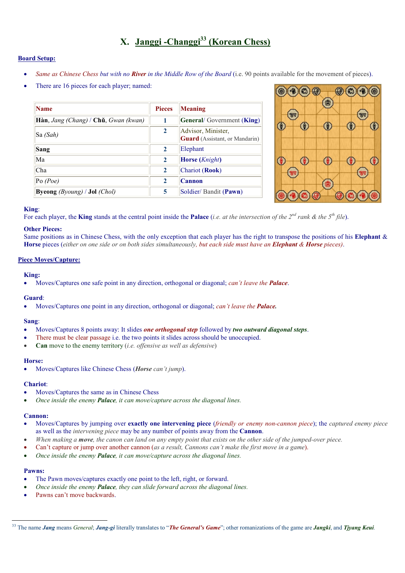# X. Janggi -Changgi<sup>33</sup> (Korean Chess)

### Board Setup:

- Same as Chinese Chess but with no **River** in the Middle Row of the Board (i.e. 90 points available for the movement of pieces).
- There are 16 pieces for each player; named:

| <b>Name</b>                                              | <b>Pieces</b> | Meaning                                                     |
|----------------------------------------------------------|---------------|-------------------------------------------------------------|
| <b>Hàn</b> , Jang (Chang) / Ch <b>ǔ</b> , Gwan (kwan)    |               | <b>General</b> /Government (King)                           |
| $\textsf{S}\textsf{a}$ (Sah)                             | $\mathbf{2}$  | Advisor, Minister,<br><b>Guard</b> (Assistant, or Mandarin) |
| Sang                                                     | $\mathbf{2}$  | Elephant                                                    |
| Ma                                                       | $\mathbf{2}$  | <b>Horse</b> ( <i>Knight</i> )                              |
| Cha                                                      | $\mathbf{2}$  | Chariot (Rook)                                              |
| $P_0$ (Poe)                                              | $\mathbf{2}$  | Cannon                                                      |
| <b>Byeong</b> <i>(Byoung)</i> / <b>Jol</b> <i>(Chol)</i> | 5             | Soldier/Bandit (Pawn)                                       |



### King:

For each player, the King stands at the central point inside the Palace (i.e. at the intersection of the  $2^{nd}$  rank & the  $5^{th}$  file).

### Other Pieces:

Same positions as in Chinese Chess, with the only exception that each player has the right to transpose the positions of his Elephant  $\&$ Horse pieces (either on one side or on both sides simultaneously, but each side must have an **Elephant & Horse** pieces).

### Piece Moves/Capture:

### King:

• Moves/Captures one safe point in any direction, orthogonal or diagonal; *can't leave the Palace*.

### Guard:

Moves/Captures one point in any direction, orthogonal or diagonal; *can't leave the Palace*.

### Sang:

- Moves/Captures 8 points away: It slides one orthogonal step followed by two outward diagonal steps.
- There must be clear passage i.e. the two points it slides across should be unoccupied.
- **Can** move to the enemy territory (i.e. offensive as well as defensive)

#### Horse:

Moves/Captures like Chinese Chess (Horse can't jump).

#### Chariot:

- Moves/Captures the same as in Chinese Chess
- Once inside the enemy Palace, it can move/capture across the diagonal lines.

### Cannon:

- Moves/Captures by jumping over **exactly one intervening piece** (friendly or enemy non-cannon piece); the captured enemy piece as well as the intervening piece may be any number of points away from the Cannon.
- When making a move, the canon can land on any empty point that exists on the other side of the jumped-over piece.
- Can't capture or jump over another cannon (as a result, Cannons can't make the first move in a game).
- Once inside the enemy **Palace**, it can move/capture across the diagonal lines.

### Pawns:

- The Pawn moves/captures exactly one point to the left, right, or forward.
- Once inside the enemy Palace, they can slide forward across the diagonal lines.
- Pawns can't move backwards.

<sup>&</sup>lt;sup>33</sup> The name Jang means General; Jang-gi literally translates to "The General's Game"; other romanizations of the game are Jangki, and Tjyang Keui.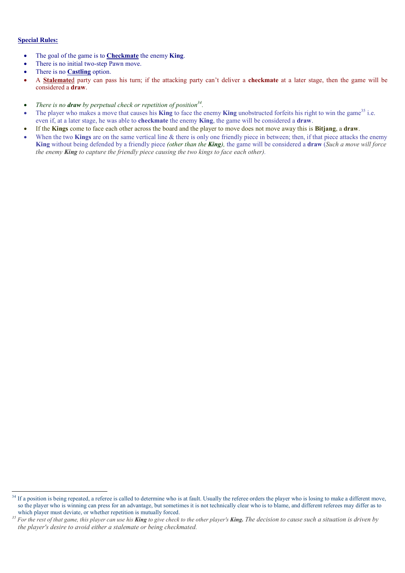# Special Rules:

- The goal of the game is to **Checkmate** the enemy **King**.
- There is no initial two-step Pawn move.
- There is no **Castling** option.
- A **Stalemate**d party can pass his turn; if the attacking party can't deliver a **checkmate** at a later stage, then the game will be considered a draw.
- There is no **draw** by perpetual check or repetition of position<sup>34</sup>.
- The player who makes a move that causes his **King** to face the enemy **King** unobstructed forfeits his right to win the game<sup>35</sup> i.e. even if, at a later stage, he was able to checkmate the enemy King, the game will be considered a draw.
- If the Kings come to face each other across the board and the player to move does not move away this is Bitjang, a draw.
- When the two Kings are on the same vertical line  $\&$  there is only one friendly piece in between; then, if that piece attacks the enemy King without being defended by a friendly piece (other than the King), the game will be considered a draw (Such a move will force the enemy King to capture the friendly piece causing the two kings to face each other).

<sup>-</sup><sup>34</sup> If a position is being repeated, a referee is called to determine who is at fault. Usually the referee orders the player who is losing to make a different move, so the player who is winning can press for an advantage, but sometimes it is not technically clear who is to blame, and different referees may differ as to which player must deviate, or whether repetition is mutually forced.

 $35$  For the rest of that game, this player can use his **King** to give check to the other player's **King.** The decision to cause such a situation is driven by the player's desire to avoid either a stalemate or being checkmated.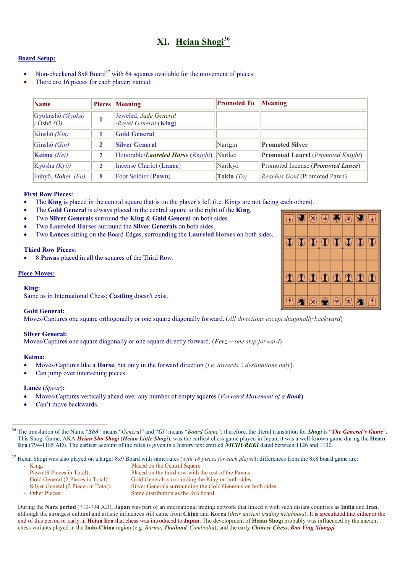# XI. Heian Shogi<sup>36</sup>

### Board Setup:

- Non-checkered  $8x8$  Board<sup>37</sup> with 64 squares available for the movement of pieces.
- There are 16 pieces for each player; named:

| $\sum_{n=1}^{\infty}$                               |              | <b>Pieces</b> Meaning                                      | <b>Promoted To</b> | Meaning                                           |
|-----------------------------------------------------|--------------|------------------------------------------------------------|--------------------|---------------------------------------------------|
| Gyokushō (Gyoku)<br>$\sqrt{O}$ shō $\overline{O}$ ) |              | Jeweled, Jade General<br>/Royal General (King)             |                    |                                                   |
| Kinshō $(Kin)$                                      |              | <b>Gold General</b>                                        |                    |                                                   |
| Ginshō $(Gin)$                                      | $\mathbf{2}$ | <b>Silver General</b>                                      | Narigin            | <b>Promoted Silver</b>                            |
| <b>Keima</b> (Kei)                                  |              | Honorable/ <i>Laureled Horse</i> ( <i>Knight</i> ) Narikei |                    | <b>Promoted Laurel</b> ( <i>Promoted Knight</i> ) |
| Kyōsha $(Ky\bar{o})$                                | $\mathbf{2}$ | Incense Chariot (Lance)                                    | Narikyō            | Promoted Incense ( <i>Promoted Lance</i> )        |
| $\vert$ Fuhyō, <i>Hohei (Fu)</i>                    | 8            | Foot Soldier (Pawn)                                        | Tokin $(T_O)$      | Reaches Gold (Promoted Pawn)                      |

### First Row Pieces:

- The **King** is placed in the central square that is on the player's left (i.e. Kings are not facing each others).
- The Gold General is always placed in the central square to the right of the King.
- Two Silver Generals surround the King & Gold General on both sides.
- Two Laureled Horses surround the Silver Generals on both sides.
- Two Lances sitting on the Board Edges, surrounding the Laureled Horses on both sides.

### Third Row Pieces:

• 8 Pawns placed in all the squares of the Third Row.

#### Piece Moves:

#### King:

Same as in International Chess; Castling doesn't exist.

### Gold General:

Moves/Captures one square orthogonally or one square diagonally forward. (All directions except diagonally backward)

### Silver General:

Moves/Captures one square diagonally or one square directly forward. (Ferz + one step forward)

### Keima:

- Moves/Captures like a **Horse**, but only in the forward direction (*i.e. towards 2 destinations only*).
- Can jump over intervening pieces.

### Lance (Spear):

- Moves/Captures vertically ahead over any number of empty squares (*Forward Movement of a Rook*)
- Can't move backwards.

<sup>37</sup> Heian Shogi was also played on a larger 8x9 Board with same rules (with 18 pieces for each player); differences from the 8x8 board game are:

-

- King: Placed on the Central Square<br>- Pawn (9 Pieces in Total): Placed on the third row with t
- Pawn (9 Pieces in Total): Placed on the third row with the rest of the Pawns<br>- Gold General (2 Pieces in Total): Gold Generals surrounding the King on both sides Gold Generals surrounding the King on both sides
- Silver General (2 Pieces in Total): Silver Generals surrounding the Gold Generals on both sides
- Other Pieces: Same distribution as the 8x8 board

During the Nara period (710-794 AD), Japan was part of an international trading network that linked it with such distant countries as India and Iran, although the strongest cultural and artistic influences still came from China and Korea (their ancient trading neighbors). It is speculated that either at the end of this period or early in Heian Era that chess was introduced to Japan. The development of Heian Shogi probably was influenced by the ancient chess variants played in the Indo-China region (e.g. Burma, Thailand, Cambodia), and the early Chinese Chess, Bao Ying Xiangqi.



<sup>&</sup>lt;sup>36</sup> The translation of the Name "Shô" means "General" and "Gi" means "Board Game"; therefore, the literal translation for Shogi is "The General's Game". This Shogi Game, AKA Heian Sho Shogi (Heian Little Shogi), was the earliest chess game played in Japan, it was a well-known game during the Heian Era (794-1185 AD). The earliest account of the rules is given in a history text entitled **NICHUREKI** dated between 1126 and 1130.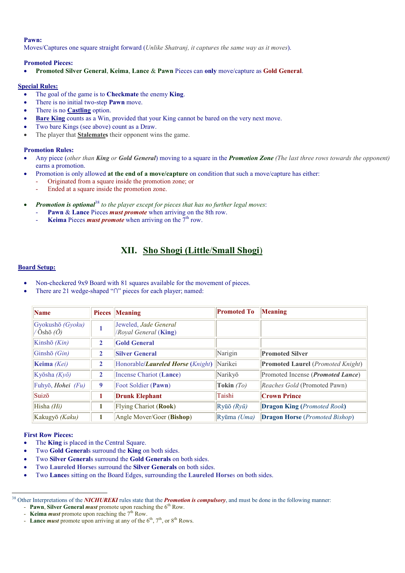#### Pawn:

Moves/Captures one square straight forward *(Unlike Shatranj, it captures the same way as it moves)*.

#### Promoted Pieces:

• Promoted Silver General, Keima, Lance & Pawn Pieces can only move/capture as Gold General.

#### Special Rules:

- The goal of the game is to **Checkmate** the enemy **King**.
- There is no initial two-step **Pawn** move.
- There is no **Castling** option.
- **Bare King** counts as a Win, provided that your King cannot be bared on the very next move.
- Two bare Kings (see above) count as a Draw.
- The player that **Stalemates** their opponent wins the game.

### Promotion Rules:

- Any piece (other than King or Gold General) moving to a square in the **Promotion Zone** (The last three rows towards the opponent) earns a promotion.
- Promotion is only allowed at the end of a move/capture on condition that such a move/capture has either:
	- Originated from a square inside the promotion zone; or
		- Ended at a square inside the promotion zone.
- **Promotion is optional**<sup>38</sup> to the player except for pieces that has no further legal moves:
	- Pawn & Lance Pieces *must promote* when arriving on the 8th row.
	- Keima Pieces *must promote* when arriving on the  $7<sup>th</sup>$  row.

# XII. Sho Shogi (Little/Small Shogi)

#### Board Setup:

- Non-checkered 9x9 Board with 81 squares available for the movement of pieces.
- There are 21 wedge-shaped "∩" pieces for each player; named:

| <b>Name</b>                                       |                | <b>Pieces</b> Meaning                                      | <b>Promoted To</b>                 | Meaning                                           |
|---------------------------------------------------|----------------|------------------------------------------------------------|------------------------------------|---------------------------------------------------|
| Gyokushō (Gyoku)<br>$\sqrt{O}$ shō $\overline{O}$ |                | Jeweled, Jade General<br>/Royal General (King)             |                                    |                                                   |
| Kinshō $(Kin)$                                    | 2              | <b>Gold General</b>                                        |                                    |                                                   |
| Ginshō $(Gin)$                                    | $\mathbf{2}$   | <b>Silver General</b>                                      | Narigin                            | <b>Promoted Silver</b>                            |
| Keima (Kei)                                       | $\overline{2}$ | Honorable/ <i>Laureled Horse</i> ( <i>Knight</i> ) Narikei |                                    | <b>Promoted Laurel</b> ( <i>Promoted Knight</i> ) |
| Kyōsha $(Ky\bar{o})$                              | 2              | Incense Chariot (Lance)                                    | Narikyō                            | Promoted Incense ( <i>Promoted Lance</i> )        |
| Fuhyō, Hohei (Fu)                                 | 9              | Foot Soldier (Pawn)                                        | Tokin $(To)$                       | Reaches Gold (Promoted Pawn)                      |
| Suizō                                             | 1              | <b>Drunk Elephant</b>                                      | Taishi                             | <b>Crown Prince</b>                               |
| Hisha $(Hi)$                                      |                | <b>Flying Chariot (Rook)</b>                               | $Ry\bar{u}\bar{o}$ ( $Ry\bar{u}$ ) | <b>Dragon King (Promoted Rook)</b>                |
| Kakugyō <i>(Kaku)</i>                             |                | Angle Mover/Goer (Bishop)                                  | $Rvūma$ (Uma)                      | <b>Dragon Horse</b> (Promoted Bishop)             |

#### First Row Pieces:

- The King is placed in the Central Square.
- Two Gold Generals surround the King on both sides.
- Two Silver Generals surround the Gold Generals on both sides.
- Two Laureled Horses surround the Silver Generals on both sides.
- Two Lances sitting on the Board Edges, surrounding the Laureled Horses on both sides.

<sup>-</sup><sup>38</sup> Other Interpretations of the **NICHUREKI** rules state that the **Promotion is compulsory**, and must be done in the following manner: - Pawn, Silver General *must* promote upon reaching the  $6<sup>th</sup>$  Row.

<sup>-</sup> Keima *must* promote upon reaching the  $7<sup>th</sup>$  Row.

<sup>-</sup> Lance *must* promote upon arriving at any of the  $6<sup>th</sup>$ ,  $7<sup>th</sup>$ , or  $8<sup>th</sup>$  Rows.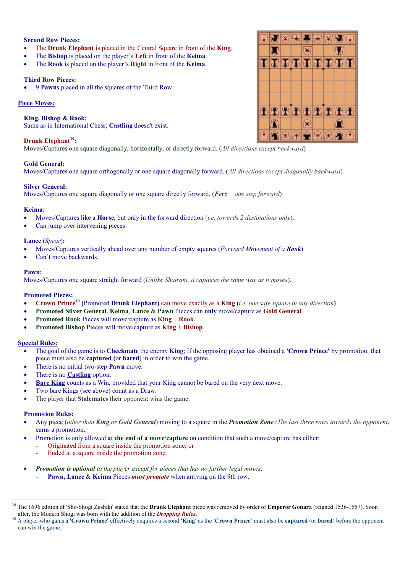# Second Row Pieces:

- The Drunk Elephant is placed in the Central Square in front of the King.
- The Bishop is placed on the player's Left in front of the Keima.
- The Rook is placed on the player's Right in front of the Keima.

# Third Row Pieces:

• 9 Pawns placed in all the squares of the Third Row.

# Piece Moves:

### King, Bishop & Rook:

Same as in International Chess; Castling doesn't exist.

## Drunk Elephant<sup>39</sup>:

Moves/Captures one square diagonally, horizontally, or directly forward. (All directions except backward)

### Gold General:

Moves/Captures one square orthogonally or one square diagonally forward. (All directions except diagonally backward)

### Silver General:

Moves/Captures one square diagonally or one square directly forward. (Ferz + one step forward)

### Keima:

- Moves/Captures like a **Horse**, but only in the forward direction (*i.e. towards 2 destinations only*).
- Can jump over intervening pieces.

### Lance (Spear):

- Moves/Captures vertically ahead over any number of empty squares (Forward Movement of a Rook)
- Can't move backwards.

### Pawn:

Moves/Captures one square straight forward *(Unlike Shatrani, it captures the same way as it moves)*.

### Promoted Pieces:

- Crown Prince<sup>40</sup> (Promoted Drunk Elephant) can move exactly as a King (i.e. one safe square in any direction)
- Promoted Silver General, Keima, Lance & Pawn Pieces can only move/capture as Gold General.
- Promoted Rook Pieces will move/capture as King + Rook.
- Promoted Bishop Pieces will move/capture as King + Bishop.

### Special Rules:

- The goal of the game is to Checkmate the enemy King; If the opposing player has obtained a 'Crown Prince' by promotion; that piece must also be captured (or bared) in order to win the game.
- There is no initial two-step **Pawn** move.
- There is no **Castling** option.
- Bare King counts as a Win, provided that your King cannot be bared on the very next move.
- Two bare Kings (see above) count as a Draw.
- The player that **Stalemates** their opponent wins the game.

### Promotion Rules:

- Any piece (other than King or Gold General) moving to a square in the **Promotion Zone** (The last three rows towards the opponent) earns a promotion.
- Promotion is only allowed at the end of a move/capture on condition that such a move/capture has either:
	- Originated from a square inside the promotion zone; or
		- Ended at a square inside the promotion zone.
- **Promotion is optional** to the player except for pieces that has no further legal moves: Pawn, Lance & Keima Pieces *must promote* when arriving on the 9th row.



 $39$  The 1696 edition of 'Sho-Shogi Zushiki' stated that the **Drunk Elephant** piece was removed by order of **Emperor Gonara** (reigned 1536-1557). Soon after, the Modern Shogi was born with the addition of the **Dropping Rules**.

A player who gains a 'Crown Prince' effectively acquires a second 'King' as the 'Crown Prince' must also be captured (or bared) before the opponent can win the game.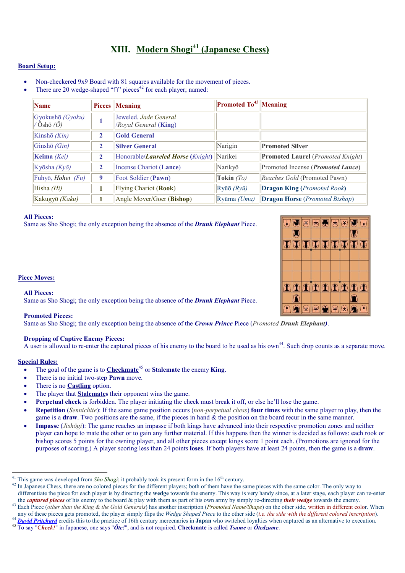# XIII. Modern Shogi<sup>41</sup> (Japanese Chess)

# Board Setup:

- Non-checkered 9x9 Board with 81 squares available for the movement of pieces.
- There are 20 wedge-shaped "∩" pieces<sup>42</sup> for each player; named:

| <b>Name</b>                                      |   | <b>Pieces Meaning</b>                                      | Promoted To <sup>43</sup> Meaning  |                                                   |
|--------------------------------------------------|---|------------------------------------------------------------|------------------------------------|---------------------------------------------------|
| Gyokushō (Gyoku)<br>$\sqrt{O}$ shō ( $\bar{O}$ ) |   | Jeweled, Jade General<br>/Royal General (King)             |                                    |                                                   |
| Kinshō $(Kin)$                                   | 2 | <b>Gold General</b>                                        |                                    |                                                   |
| Ginshō $(Gin)$                                   | 2 | <b>Silver General</b>                                      | Narigin                            | <b>Promoted Silver</b>                            |
| Keima $(Kei)$                                    | 2 | Honorable/ <i>Laureled Horse</i> ( <i>Knight</i> ) Narikei |                                    | <b>Promoted Laurel</b> ( <i>Promoted Knight</i> ) |
| Kyōsha $(Ky\bar{o})$                             | 2 | Incense Chariot (Lance)                                    | Narikyō                            | Promoted Incense ( <i>Promoted Lance</i> )        |
| Fuhyō, Hohei (Fu)                                | 9 | Foot Soldier (Pawn)                                        | Tokin $(To)$                       | Reaches Gold (Promoted Pawn)                      |
| Hisha $(Hi)$                                     |   | Flying Chariot (Rook)                                      | $Ry\bar{u}\bar{o}$ ( $Ry\bar{u}$ ) | <b>Dragon King (Promoted Rook)</b>                |
| Kakugyō (Kaku)                                   |   | Angle Mover/Goer (Bishop)                                  | Ryūma (Uma)                        | <b>Dragon Horse</b> ( <i>Promoted Bishop</i> )    |

#### All Pieces:

Same as Sho Shogi; the only exception being the absence of the Drunk Elephant Piece.



#### All Pieces:

Same as Sho Shogi; the only exception being the absence of the Drunk Elephant Piece.

#### Promoted Pieces:

Same as Sho Shogi; the only exception being the absence of the Crown Prince Piece (Promoted Drunk Elephant).

## Dropping of Captive Enemy Pieces:

A user is allowed to re-enter the captured pieces of his enemy to the board to be used as his own<sup>44</sup>. Such drop counts as a separate move.

# Special Rules:

- The goal of the game is to Checkmate<sup>45</sup> or Stalemate the enemy King.
- There is no initial two-step **Pawn** move.
- There is no **Castling** option.
- The player that **Stalemates** their opponent wins the game.
- Perpetual check is forbidden. The player initiating the check must break it off, or else he'll lose the game.
- **Repetition** (Sennichite): If the same game position occurs (non-perpetual chess) **four times** with the same player to play, then the game is a **draw**. Two positions are the same, if the pieces in hand  $\&$  the position on the board recur in the same manner.
- Impasse (*Jishōgi*): The game reaches an impasse if both kings have advanced into their respective promotion zones and neither player can hope to mate the other or to gain any further material. If this happens then the winner is decided as follows: each rook or bishop scores 5 points for the owning player, and all other pieces except kings score 1 point each. (Promotions are ignored for the purposes of scoring.) A player scoring less than 24 points loses. If both players have at least 24 points, then the game is a draw.



<sup>&</sup>lt;sup>41</sup> This game was developed from *Sho Shogi*; it probably took its present form in the  $16<sup>th</sup>$  century.

<sup>&</sup>lt;sup>42</sup> In Japanese Chess, there are no colored pieces for the different players; both of them have the same pieces with the same color. The only way to differentiate the piece for each player is by directing the wedge towards the enemy. This way is very handy since, at a later stage, each player can re-enter the *captured pieces* of his enemy to the board  $\&$  play with them as part of his own army by simply re-directing *their wedge* towards the enemy.

<sup>&</sup>lt;sup>43</sup> Each Piece (*other than the King & the Gold Generals*) has another inscription (*Promoted Name*/Shape) on the other side, written in different color. When any of these pieces gets promoted, the player simply flips the Wedge Shaped Piece to the other side (i.e. the side with the different colored inscription).

**David Pritchard** credits this to the practice of 16th century mercenaries in Japan who switched loyalties when captured as an alternative to execution.

 $45 \overline{To say "Check!"}$  in Japanese, one says " $\bar{O}te!"$ , and is not required. Checkmate is called *Tsume* or  $\bar{O}tedzume$ .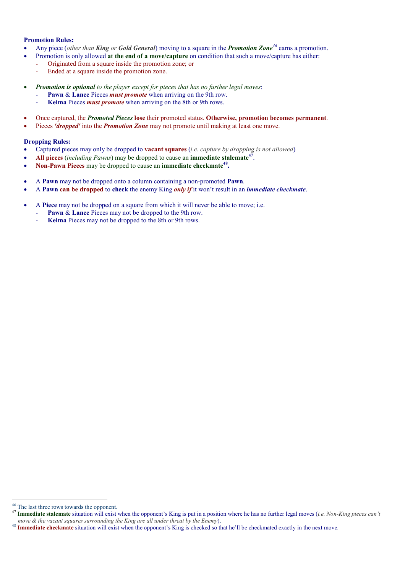### Promotion Rules:

- Any piece (other than King or Gold General) moving to a square in the **Promotion Zone**<sup>46</sup> earns a promotion.
- Promotion is only allowed at the end of a move/capture on condition that such a move/capture has either:
- Originated from a square inside the promotion zone; or
	- Ended at a square inside the promotion zone.
- **Promotion is optional** to the player except for pieces that has no further legal moves:
	- Pawn & Lance Pieces *must promote* when arriving on the 9th row.
	- Keima Pieces *must promote* when arriving on the 8th or 9th rows.
- Once captured, the Promoted Pieces lose their promoted status. Otherwise, promotion becomes permanent.
- Pieces 'dropped' into the **Promotion Zone** may not promote until making at least one move.

#### Dropping Rules:

- Captured pieces may only be dropped to **vacant squares** (*i.e. capture by dropping is not allowed*)
- All pieces (including Pawns) may be dropped to cause an immediate stalemate<sup>47</sup>.
- Non-Pawn Pieces may be dropped to cause an immediate checkmate<sup>48</sup>.
- A Pawn may not be dropped onto a column containing a non-promoted Pawn.
- A Pawn can be dropped to check the enemy King *only if* it won't result in an *immediate checkmate*.
- A Piece may not be dropped on a square from which it will never be able to move; i.e.
	- Pawn & Lance Pieces may not be dropped to the 9th row.
	- Keima Pieces may not be dropped to the 8th or 9th rows.

<sup>&</sup>lt;sup>46</sup> The last three rows towards the opponent.

<sup>&</sup>lt;sup>47</sup> Immediate stalemate situation will exist when the opponent's King is put in a position where he has no further legal moves (*i.e. Non-King pieces can't* move & the vacant squares surrounding the King are all under threat by the Enemy).

<sup>&</sup>lt;sup>48</sup> **Immediate checkmate** situation will exist when the opponent's King is checked so that he'll be checkmated exactly in the next move.